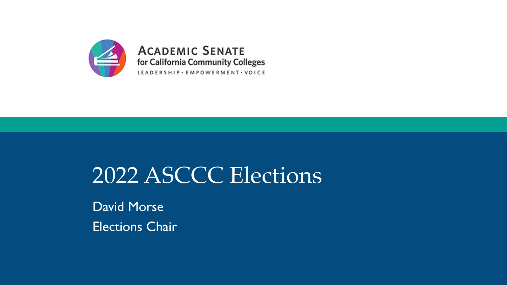

# 2022 ASCCC Elections

David Morse Elections Chair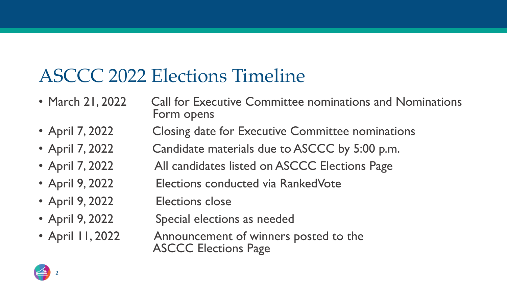## ASCCC 2022 Elections Timeline

- March 21, 2022 Call for Executive Committee nominations and Nominations Form opens
- April 7, 2022 Closing date for Executive Committee nominations
- April 7, 2022 Candidate materials due to ASCCC by 5:00 p.m.
- April 7, 2022 All candidates listed on ASCCC Elections Page
- April 9, 2022 Elections conducted via RankedVote
- April 9, 2022 Elections close
- April 9, 2022 Special elections as needed
- April 11, 2022 Announcement of winners posted to the ASCCC Elections Page

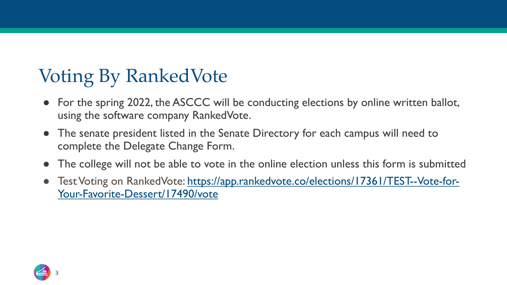# Voting By RankedVote

- For the spring 2022, the ASCCC will be conducting elect using the software company RankedVote.
- The senate president listed in the Senate Directory for  $\epsilon$ complete the Delegate Change Form.
- The college will not be able to vote in the online election
- Test Voting on RankedVote: https://app.rankedvote.co/ele Your-Favorite-Dessert/17490/vote

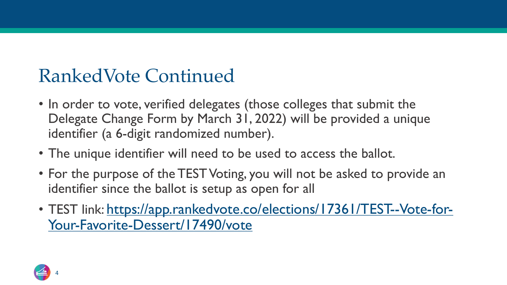### [RankedVote](https://app.rankedvote.co/elections/17361/TEST--Vote-for-Your-Favorite-Dessert/17490/vote) Continued

- In order to vote, verified delegates (those colleges Delegate Change Form by March 31, 2022) will be identifier (a 6-digit randomized number).
- The unique identifier will need to be used to acce
- For the purpose of the TEST Voting, you will not b identifier since the ballot is setup as open for all
- TEST link: https://app.rankedvote.co/elections/1 Your-Favorite-Dessert/17490/vote

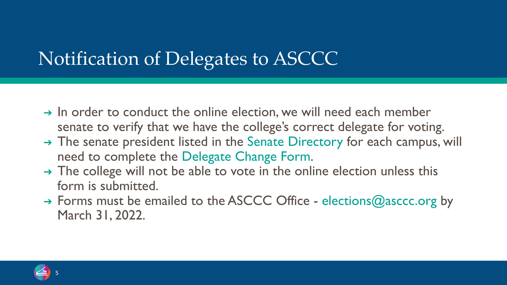# Notification of Delegates to ASCCC

- $\rightarrow$  In order to conduct the online election, we will senate to verify that we have the college's corre
- $\rightarrow$  The senate president listed in the Senate Direct need to complete the Delegate Change Form.
- $\rightarrow$  The college will not be able to vote in the online form is submitted.
- → Forms must be emailed to the ASCCC Office -March 31, 2022.

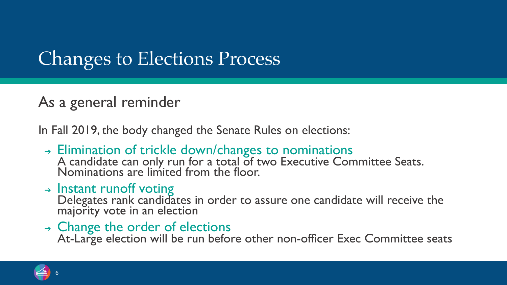# Changes to Elections Process

### As a general reminder

In Fall 2019, the body changed the Senate Rules on elections:

- ➔ Elimination of trickle down/changes to nominations A candidate can only run for a total of two Executive Committee Seats. Nominations are limited from the floor.
- $\rightarrow$  Instant runoff voting

Delegates rank candidates in order to assure one candidate will receive the majority vote in an election

➔ Change the order of elections

At-Large election will be run before other non-officer Exec Committee seats

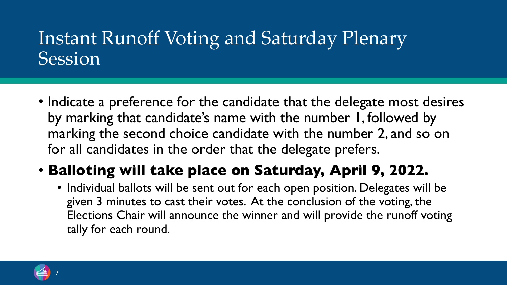### Instant Runoff Voting and Saturday Plenary **Session**

• Indicate a preference for the candidate that the delegate most desires by marking that candidate's name with the number 1, followed by marking the second choice candidate with the number 2, and so on for all candidates in the order that the delegate prefers.

### • **Balloting will take place on Saturday, April 9, 2022.**

• Individual ballots will be sent out for each open position. Delegates will be given 3 minutes to cast their votes. At the conclusion of the voting, the Elections Chair will announce the winner and will provide the runoff voting tally for each round.

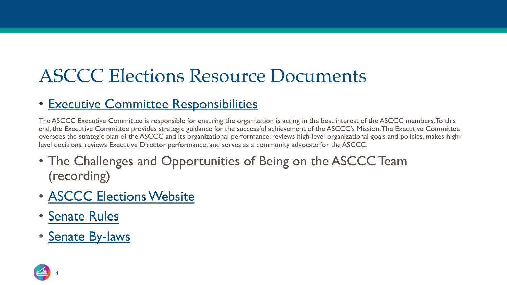# **[ASCCC E](https://asccc.org/papers/academic-senate-rules)[lections R](https://asccc.org/asccc-executive-committee-elections)esource Docur**

#### • [Executive Com](https://asccc.org/about/bylaws)mittee Responsibilities

The ASCCC Executive Committee is responsible for ensuring the organization is acting in the b end, the Executive Committee provides strategic guidance for the successful achievement of the oversees the strategic plan of the ASCCC and its organizational performance, reviews high-level level decisions, reviews Executive Director performance, and serves as a community advocate for

- The Challenges and Opportunities of Being on the (recording)
- ASCCC Elections Website
- Senate Rules
- Senate By-laws

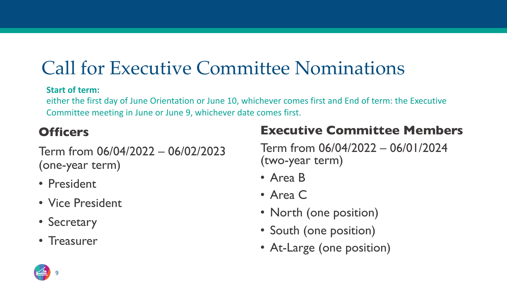### Call for Executive Committee Nominations

#### **Start of term:**

either the first day of June Orientation or June 10, whichever comes first and End of term: the Executive Committee meeting in June or June 9, whichever date comes first.

#### **Officers**

Term from 06/04/2022 – 06/02/2023 (one-year term)

- President
- Vice President
- Secretary
- Treasurer

#### **Executive Committee Members**

Term from 06/04/2022 – 06/01/2024 (two-year term)

- Area B
- Area C
- North (one position)
- South (one position)
- At-Large (one position)

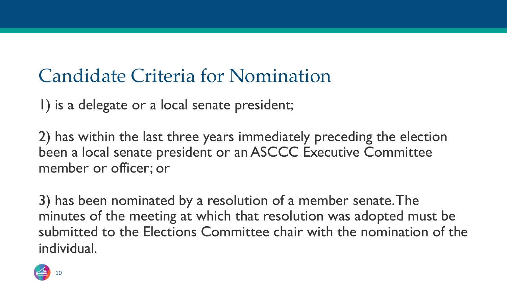### Candidate Criteria for Nomination

1) is a delegate or a local senate president;

2) has within the last three years immediately preceding the election been a local senate president or an ASCCC Executive Committee member or officer; or

3) has been nominated by a resolution of a member senate. The minutes of the meeting at which that resolution was adopted must be submitted to the Elections Committee chair with the nomination of the individual.

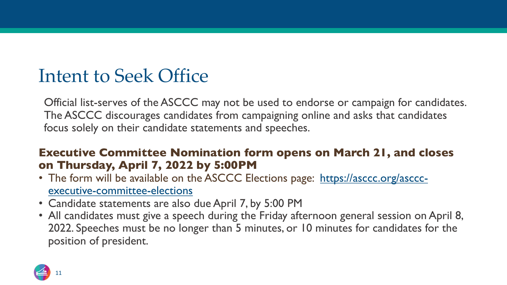### Intent to Seek Office

Official list-serves of the ASCCC may not be used to endor The ASCCC discourages candidates from campaigning online focus solely on their candidate statements and speeches.

#### **Executive Committee Nomination form opens o on Thursday, April 7, 2022 by 5:00PM**

- The form will be available on the ASCCC Elections page: **https://ascc.**org/ascor.org/ascorexecutive-committee-elections
- Candidate statements are also due April 7, by 5:00 PM
- All candidates must give a speech during the Friday afternc 2022. Speeches must be no longer than 5 minutes, or 10 m position of president.

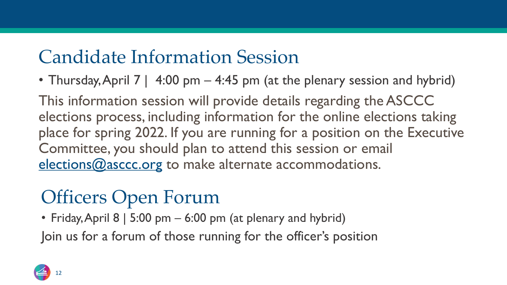# Candidate Information Session

• Thursday, April 7 |  $4:00$  pm  $-4:45$  pm (at the plen

This information session will provide details reg elections process, including information for the place for spring 2022. If you are running for a position Committee, you should plan to attend this sessi elections@asccc.org to make alternate accomm

# Officers Open Forum

• Friday, April  $8 | 5:00 |$  pm  $- 6:00 |$  pm (at plenary and hyl Join us for a forum of those running for the officer'